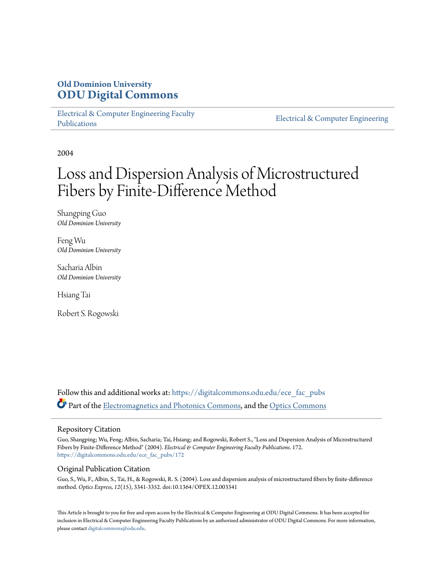# **Old Dominion University [ODU Digital Commons](https://digitalcommons.odu.edu?utm_source=digitalcommons.odu.edu%2Fece_fac_pubs%2F172&utm_medium=PDF&utm_campaign=PDFCoverPages)**

[Electrical & Computer Engineering Faculty](https://digitalcommons.odu.edu/ece_fac_pubs?utm_source=digitalcommons.odu.edu%2Fece_fac_pubs%2F172&utm_medium=PDF&utm_campaign=PDFCoverPages) [Publications](https://digitalcommons.odu.edu/ece_fac_pubs?utm_source=digitalcommons.odu.edu%2Fece_fac_pubs%2F172&utm_medium=PDF&utm_campaign=PDFCoverPages)

[Electrical & Computer Engineering](https://digitalcommons.odu.edu/ece?utm_source=digitalcommons.odu.edu%2Fece_fac_pubs%2F172&utm_medium=PDF&utm_campaign=PDFCoverPages)

2004

# Loss and Dispersion Analysis of Microstructured Fibers by Finite-Difference Method

Shangping Guo *Old Dominion University*

Feng Wu *Old Dominion University*

Sacharia Albin *Old Dominion University*

Hsiang Tai

Robert S. Rogowski

Follow this and additional works at: [https://digitalcommons.odu.edu/ece\\_fac\\_pubs](https://digitalcommons.odu.edu/ece_fac_pubs?utm_source=digitalcommons.odu.edu%2Fece_fac_pubs%2F172&utm_medium=PDF&utm_campaign=PDFCoverPages) Part of the [Electromagnetics and Photonics Commons,](http://network.bepress.com/hgg/discipline/271?utm_source=digitalcommons.odu.edu%2Fece_fac_pubs%2F172&utm_medium=PDF&utm_campaign=PDFCoverPages) and the [Optics Commons](http://network.bepress.com/hgg/discipline/204?utm_source=digitalcommons.odu.edu%2Fece_fac_pubs%2F172&utm_medium=PDF&utm_campaign=PDFCoverPages)

# Repository Citation

Guo, Shangping; Wu, Feng; Albin, Sacharia; Tai, Hsiang; and Rogowski, Robert S., "Loss and Dispersion Analysis of Microstructured Fibers by Finite-Difference Method" (2004). *Electrical & Computer Engineering Faculty Publications*. 172. [https://digitalcommons.odu.edu/ece\\_fac\\_pubs/172](https://digitalcommons.odu.edu/ece_fac_pubs/172?utm_source=digitalcommons.odu.edu%2Fece_fac_pubs%2F172&utm_medium=PDF&utm_campaign=PDFCoverPages)

# Original Publication Citation

Guo, S., Wu, F., Albin, S., Tai, H., & Rogowski, R. S. (2004). Loss and dispersion analysis of microstructured fibers by finite-difference method. *Optics Express, 12*(15), 3341-3352. doi:10.1364/OPEX.12.003341

This Article is brought to you for free and open access by the Electrical & Computer Engineering at ODU Digital Commons. It has been accepted for inclusion in Electrical & Computer Engineering Faculty Publications by an authorized administrator of ODU Digital Commons. For more information, please contact [digitalcommons@odu.edu](mailto:digitalcommons@odu.edu).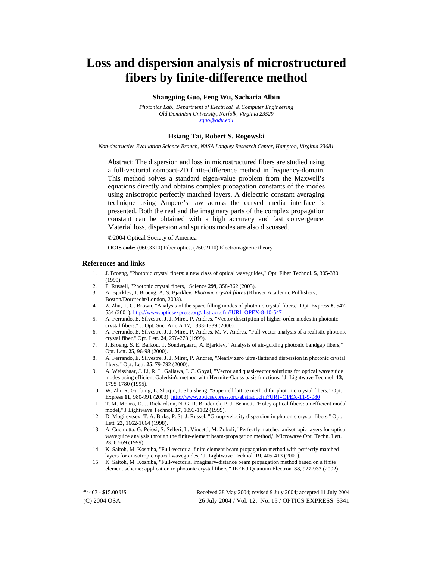# **Loss and dispersion analysis of microstructured fibers by finite-difference method**

#### **Shangping Guo, Feng Wu, Sacharia Albin**

*Photonics Lab., Department of Electrical & Computer Engineering Old Dominion University, Norfolk, Virginia 23529 [sguo@odu.edu](mailto:sguo@odu.edu)*

#### **Hsiang Tai, Robert S. Rogowski**

*Non-destructive Evaluation Science Branch, NASA Langley Research Center, Hampton, Virginia 23681* 

Abstract: The dispersion and loss in microstructured fibers are studied using a full-vectorial compact-2D finite-difference method in frequency-domain. This method solves a standard eigen-value problem from the Maxwell's equations directly and obtains complex propagation constants of the modes using anisotropic perfectly matched layers. A dielectric constant averaging technique using Ampere's law across the curved media interface is presented. Both the real and the imaginary parts of the complex propagation constant can be obtained with a high accuracy and fast convergence. Material loss, dispersion and spurious modes are also discussed.

©2004 Optical Society of America

**OCIS code:** (060.3310) Fiber optics, (260.2110) Electromagnetic theory

#### **References and links**

- 1. J. Broeng, "Photonic crystal fibers: a new class of optical waveguides," Opt. Fiber Technol. **5**, 305-330 (1999).
- 2. P. Russell, "Photonic crystal fibers," Science **299**, 358-362 (2003).
- 3. A. Bjarklev, J. Broeng, A. S. Bjarklev, *Photonic crystal fibres* (Kluwer Academic Publishers, Boston/Dordrecht/London, 2003).
- 4. Z. Zhu, T. G. Brown, "Analysis of the space filling modes of photonic crystal fibers," Opt. Express **8**, 547- 554 (2001).<http://www.opticsexpress.org/abstract.cfm?URI=OPEX-8-10-547>
- 5. A. Ferrando, E. Silvestre, J. J. Miret, P. Andres, "Vector description of higher-order modes in photonic crystal fibers," J. Opt. Soc. Am. A **17**, 1333-1339 (2000).
- 6. A. Ferrando, E. Silvestre, J. J. Miret, P. Andres, M. V. Andres, "Full-vector analysis of a realistic photonic crystal fiber," Opt. Lett. **24**, 276-278 (1999).
- 7. J. Broeng, S. E. Barkou, T. Sondergaard, A. Bjarklev, "Analysis of air-guiding photonic bandgap fibers," Opt. Lett. **25**, 96-98 (2000).
- 8. A. Ferrando, E. Silvestre, J. J. Miret, P. Andres, "Nearly zero ultra-flattened dispersion in photonic crystal fibers," Opt. Lett. **25**, 79-792 (2000).
- 9. A. Weisshaar, J. Li, R. L. Gallawa, I. C. Goyal, "Vector and quasi-vector solutions for optical waveguide modes using efficient Galerkin's method with Hermite-Gauss basis functions," J. Lightwave Technol. **13**, 1795-1780 (1995).
- 10. W. Zhi, R. Guobing, L. Shuqin, J. Shuisheng, "Supercell lattice method for photonic crystal fibers," Opt. Express **11**, 980-991 (2003).<http://www.opticsexpress.org/abstract.cfm?URI=OPEX-11-9-980>
- 11. T. M. Monro, D. J. Richardson, N. G. R. Broderick, P. J. Bennett, "Holey optical fibers: an efficient modal model," J Lightwave Technol. **17**, 1093-1102 (1999).
- 12. D. Mogilevtsev, T. A. Birks, P. St. J. Russel, "Group-velocity dispersion in photonic crystal fibers," Opt. Lett. **23**, 1662-1664 (1998).
- 13. A. Cucinotta, G. Peiosi, S. Selleri, L. Vincetti, M. Zoboli, "Perfectly matched anisotropic layers for optical waveguide analysis through the finite-element beam-propagation method," Microwave Opt. Techn. Lett. **23**, 67-69 (1999).
- 14. K. Saitoh, M. Koshiba, "Full-vectorial finite element beam propagation method with perfectly matched layers for anisotropic optical waveguides," J. Lightwave Technol. **19**, 405-413 (2001).
- 15. K. Saitoh, M. Koshiba, "Full-vectorial imaginary-distance beam propagation method based on a finite element scheme: application to photonic crystal fibers," IEEE J Quantum Electron. **38**, 927-933 (2002).

(C) 2004 OSA 26 July 2004 / Vol. 12, No. 15 / OPTICS EXPRESS 3341 #4463 - \$15.00 US Received 28 May 2004; revised 9 July 2004; accepted 11 July 2004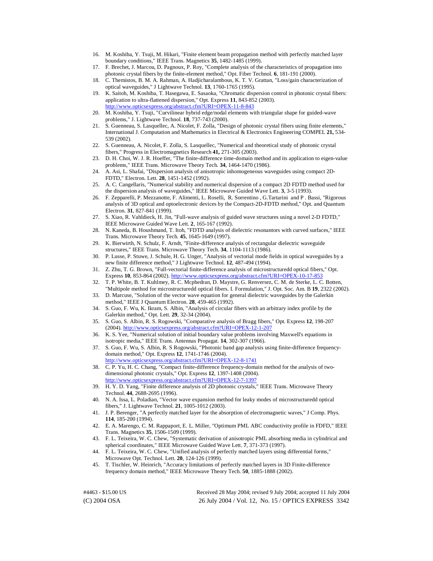- 16. M. Koshiba, Y. Tsuji, M. Hikari, "Finite element beam propagation method with perfectly matched layer boundary conditions," IEEE Trans. Magnetics **35**, 1482-1485 (1999).
- 17. F. Brechet, J. Marcou, D. Pagnoux, P. Roy, "Complete analysis of the characteristics of propagation into photonic crystal fibers by the finite-element method," Opt. Fiber Technol. **6**, 181-191 (2000).
- 18. C. Themistos, B. M. A. Rahman, A. Hadjicharalambous, K. T. V. Grattan, "Loss/gain characterization of optical waveguides," J Lightwave Technol. **13**, 1760-1765 (1995).
- 19. K. Saitoh, M. Koshiba, T. Hasegawa, E. Sasaoka, "Chromatic dispersion control in photonic crystal fibers: application to ultra-flattened dispersion," Opt. Express **11**, 843-852 (2003). <http://www.opticsexpress.org/abstract.cfm?URI=OPEX-11-8-843>
- 20. M. Koshiba, Y. Tsuji, "Curvilinear hybrid edge/nodal elements with triangular shape for guided-wave problems," J. Lightwave Technol. **18**, 737-743 (2000).
- 21. S. Guenneau, S. Lasquellec, A. Nicolet, F. Zolla, "Design of photonic crystal fibers using finite elements," International J. Computation and Mathematics in Electrical & Electronics Engineering COMPEL **21,** 534- 539 (2002).
- 22. S. Guenneau, A. Nicolet, F. Zolla, S. Lasquellec, "Numerical and theoretical study of photonic crystal fibers," Progress in Electromagnetics Research **41,** 271-305 (2003).
- 23. D. H. Choi, W. J. R. Hoeffer, "The finite-difference time-domain method and its application to eigen-value problems," IEEE Trans. Microwave Theory Tech. **34**, 1464-1470 (1986).
- 24. A. Asi, L. Shafai, "Dispersion analysis of anisotropic inhomogeneous waveguides using compact 2D-FDTD," Electron. Lett. **28**, 1451-1452 (1992).
- 25. A. C. Cangellaris, "Numerical stability and numerical dispersion of a compact 2D FDTD method used for the dispersion analysis of waveguides," IEEE Microwave Guided Wave Lett. **3**, 3-5 (1993).
- 26. F. Zepparelli, P. Mezzanotte, F. Alimenti, L. Roselli, R. Sorrentino , G.Tartarini and P . Bassi, "Rigorous analysis of 3D optical and optoelectronic devices by the Compact-2D-FDTD method," Opt. and Quantum Electron. **31**, 827-841 (1999).
- 27. S. Xiao, R. Vahldieck, H. Jin, "Full-wave analysis of guided wave structures using a novel 2-D FDTD," IEEE Microwave Guided Wave Lett. **2**, 165-167 (1992).
- 28. N. Kaneda, B. Houshmand, T. Itoh, "FDTD analysis of dielectric resonantors with curved surfaces," IEEE Trans. Microwave Theory Tech. **45**, 1645-1649 (1997).
- 29. K. Bierwirth, N. Schulz, F. Arndt, "Finite-difference analysis of rectangular dielectric waveguide structures," IEEE Trans. Microwave Theory Tech. **34**, 1104-1113 (1986).
- 30. P. Lusse, P. Stuwe, J. Schule, H. G. Unger, "Analysis of vectorial mode fields in optical waveguides by a new finite difference method," J Lightwave Technol. **12**, 487-494 (1994).
- 31. Z. Zhu, T. G. Brown, "Full-vectorial finite-difference analysis of microstructuredd optical fibers," Opt. Express **10**, 853-864 (2002).<http://www.opticsexpress.org/abstract.cfm?URI=OPEX-10-17-853>
- 32. T. P. White, B. T. Kuhlmey, R. C. Mcphedran, D. Maystre, G. Renversez, C. M. de Sterke, L. C. Botten, "Multipole method for microstructuredd optical fibers. I. Formulation," J. Opt. Soc. Am. B **19**, 2322 (2002).
- 33. D. Marcuse, "Solution of the vector wave equation for general dielectric waveguides by the Galerkin method," IEEE J Quantum Electron. **28**, 459-465 (1992).
- 34. S. Guo, F. Wu, K. Ikram, S. Albin, "Analysis of circular fibers with an arbitrary index profile by the Galerkin method," Opt. Lett. **29**, 32-34 (2004).
- 35. S. Guo, S. Albin, R. S. Rogowski, "Comparative analysis of Bragg fibers," Opt. Express **12**, 198-207 (2004).<http://www.opticsexpress.org/abstract.cfm?URI=OPEX-12-1-207>
- 36. K. S. Yee, "Numerical solution of initial boundary value problems involving Maxwell's equations in isotropic media," IEEE Trans. Antennas Propagat. **14**, 302-307 (1966).
- 37. S. Guo, F. Wu, S. Albin, R. S Rogowski, "Photonic band gap analysis using finite-difference frequencydomain method," Opt. Express **12**, 1741-1746 (2004). <http://www.opticsexpress.org/abstract.cfm?URI=OPEX-12-8-1741>
- 38. C. P. Yu, H. C. Chang, "Compact finite-difference frequency-domain method for the analysis of twodimensional photonic crystals," Opt. Express **12**, 1397-1408 (2004). <http://www.opticsexpress.org/abstract.cfm?URI=OPEX-12-7-1397>
- 39. H. Y. D. Yang, "Finite difference analysis of 2D photonic crystals," IEEE Trans. Microwave Theory Technol. **44**, 2688-2695 (1996).
- 40. N. A. Issa, L. Poladian, "Vector wave expansion method for leaky modes of microstructuredd optical fibers," J. Lightwave Technol. **21**, 1005-1012 (2003).
- 41. J. P. Berenger, "A perfectly matched layer for the absorption of electromagnetic waves," J Comp. Phys. **114**, 185-200 (1994).
- 42. E. A. Marengo, C. M. Rappaport, E. L. Miller, "Optimum PML ABC conductivity profile in FDFD," IEEE Trans. Magnetics **35**, 1506-1509 (1999).
- 43. F. L. Teixeira, W. C. Chew, "Systematic derivation of anisotropic PML absorbing media in cylindrical and spherical coordinates," IEEE Microwave Guided Wave Lett. **7**, 371-373 (1997).
- 44. F. L. Teixeira, W. C. Chew, "Unified analysis of perfectly matched layers using differential forms," Microwave Opt. Technol. Lett. **20**, 124-126 (1999).
- 45. T. Tischler, W. Heinrich, "Accuracy limitations of perfectly matched layers in 3D Finite-difference frequency domain method," IEEE Microwave Theory Tech. **50**, 1885-1888 (2002).

(C) 2004 OSA 26 July 2004 / Vol. 12, No. 15 / OPTICS EXPRESS 3342 #4463 - \$15.00 US Received 28 May 2004; revised 9 July 2004; accepted 11 July 2004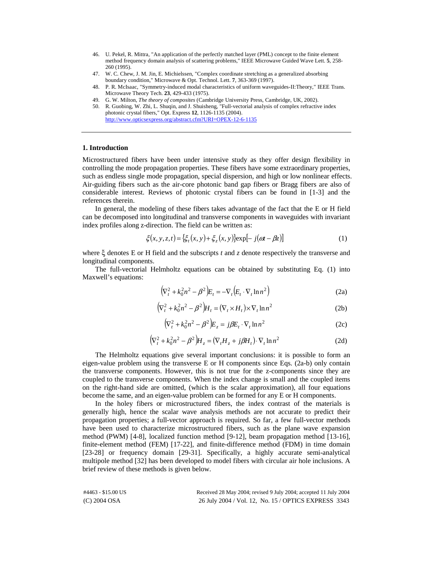- 46. U. Pekel, R. Mittra, "An application of the perfectly matched layer (PML) concept to the finite element method frequency domain analysis of scattering problems," IEEE Microwave Guided Wave Lett. **5**, 258- 260 (1995).
- 47. W. C. Chew, J. M. Jin, E. Michielssen, "Complex coordinate stretching as a generalized absorbing boundary condition," Microwave & Opt. Technol. Lett. **7**, 363-369 (1997).
- 48. P. R. McIsaac, "Symmetry-induced modal characteristics of uniform waveguides-II:Theory," IEEE Trans. Microwave Theory Tech. **23**, 429-433 (1975).
- 49. G. W. Milton, *The theory of composites* (Cambridge University Press, Cambridge, UK, 2002).
- 50. R. Guobing, W. Zhi, L. Shuqin, and J. Shuisheng, "Full-vectorial analysis of complex refractive index photonic crystal fibers," Opt. Express **12**, 1126-1135 (2004). <http://www.opticsexpress.org/abstract.cfm?URI=OPEX-12-6-1135>

#### **1. Introduction**

Microstructured fibers have been under intensive study as they offer design flexibility in controlling the mode propagation properties. These fibers have some extraordinary properties, such as endless single mode propagation, special dispersion, and high or low nonlinear effects. Air-guiding fibers such as the air-core photonic band gap fibers or Bragg fibers are also of considerable interest. Reviews of photonic crystal fibers can be found in [1-3] and the references therein.

In general, the modeling of these fibers takes advantage of the fact that the E or H field can be decomposed into longitudinal and transverse components in waveguides with invariant index profiles along z-direction. The field can be written as:

$$
\xi(x, y, z, t) = \left\{ \xi_t(x, y) + \xi_z(x, y) \right\} \exp\left[-j(\boldsymbol{\alpha}t - \boldsymbol{\beta}z)\right] \tag{1}
$$

where ξ denotes E or H field and the subscripts *t* and *z* denote respectively the transverse and longitudinal components.

The full-vectorial Helmholtz equations can be obtained by substituting Eq. (1) into Maxwell's equations:

$$
\left(\nabla_t^2 + k_0^2 n^2 - \beta^2\right) E_t = -\nabla_t \left(E_t \cdot \nabla_t \ln n^2\right)
$$
\n(2a)

$$
\left(\nabla_t^2 + k_0^2 n^2 - \beta^2\right) H_t = \left(\nabla_t \times H_t\right) \times \nabla_t \ln n^2 \tag{2b}
$$

$$
\left(\nabla_t^2 + k_0^2 n^2 - \beta^2\right) E_z = j\beta E_t \cdot \nabla_t \ln n^2 \tag{2c}
$$

$$
\left(\nabla_t^2 + k_0^2 n^2 - \beta^2\right) H_z = \left(\nabla_t H_z + j\beta H_t\right) \cdot \nabla_t \ln n^2
$$
\n(2d)

The Helmholtz equations give several important conclusions: it is possible to form an eigen-value problem using the transverse E or H components since Eqs. (2a-b) only contain the transverse components. However, this is not true for the z-components since they are coupled to the transverse components. When the index change is small and the coupled items on the right-hand side are omitted, (which is the scalar approximation), all four equations become the same, and an eigen-value problem can be formed for any E or H components.

In the holey fibers or microstructured fibers, the index contrast of the materials is generally high, hence the scalar wave analysis methods are not accurate to predict their propagation properties; a full-vector approach is required. So far, a few full-vector methods have been used to characterize microstructured fibers, such as the plane wave expansion method (PWM) [4-8], localized function method [9-12], beam propagation method [13-16], finite-element method (FEM) [17-22], and finite-difference method (FDM) in time domain [23-28] or frequency domain [29-31]. Specifically, a highly accurate semi-analytical multipole method [32] has been developed to model fibers with circular air hole inclusions. A brief review of these methods is given below.

(C) 2004 OSA 26 July 2004 / Vol. 12, No. 15 / OPTICS EXPRESS 3343 #4463 - \$15.00 US Received 28 May 2004; revised 9 July 2004; accepted 11 July 2004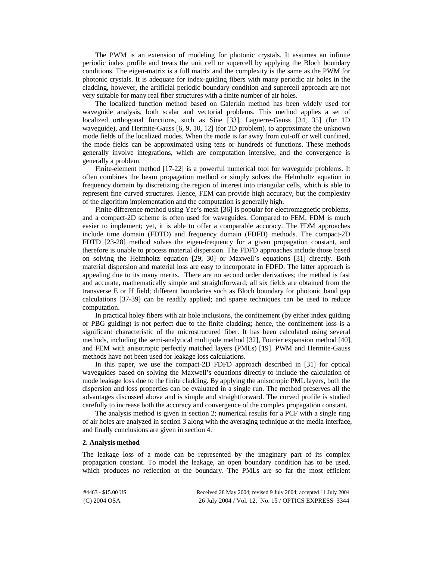The PWM is an extension of modeling for photonic crystals. It assumes an infinite periodic index profile and treats the unit cell or supercell by applying the Bloch boundary conditions. The eigen-matrix is a full matrix and the complexity is the same as the PWM for photonic crystals. It is adequate for index-guiding fibers with many periodic air holes in the cladding, however, the artificial periodic boundary condition and supercell approach are not very suitable for many real fiber structures with a finite number of air holes.

The localized function method based on Galerkin method has been widely used for waveguide analysis, both scalar and vectorial problems. This method applies a set of localized orthogonal functions, such as Sine [33], Laguerre-Gauss [34, 35] (for 1D waveguide), and Hermite-Gauss [6, 9, 10, 12] (for 2D problem), to approximate the unknown mode fields of the localized modes. When the mode is far away from cut-off or well confined, the mode fields can be approximated using tens or hundreds of functions. These methods generally involve integrations, which are computation intensive, and the convergence is generally a problem.

Finite-element method [17-22] is a powerful numerical tool for waveguide problems. It often combines the beam propagation method or simply solves the Helmholtz equation in frequency domain by discretizing the region of interest into triangular cells, which is able to represent fine curved structures. Hence, FEM can provide high accuracy, but the complexity of the algorithm implementation and the computation is generally high.

Finite-difference method using Yee's mesh [36] is popular for electromagnetic problems, and a compact-2D scheme is often used for waveguides. Compared to FEM, FDM is much easier to implement; yet, it is able to offer a comparable accuracy. The FDM approaches include time domain (FDTD) and frequency domain (FDFD) methods. The compact-2D FDTD [23-28] method solves the eigen-frequency for a given propagation constant, and therefore is unable to process material dispersion. The FDFD approaches include those based on solving the Helmholtz equation [29, 30] or Maxwell's equations [31] directly. Both material dispersion and material loss are easy to incorporate in FDFD. The latter approach is appealing due to its many merits. There are no second order derivatives; the method is fast and accurate, mathematically simple and straightforward; all six fields are obtained from the transverse E or H field; different boundaries such as Bloch boundary for photonic band gap calculations [37-39] can be readily applied; and sparse techniques can be used to reduce computation.

In practical holey fibers with air hole inclusions, the confinement (by either index guiding or PBG guiding) is not perfect due to the finite cladding; hence, the confinement loss is a significant characteristic of the microstrucured fiber. It has been calculated using several methods, including the semi-analytical multipole method [32], Fourier expansion method [40], and FEM with anisotropic perfectly matched layers (PMLs) [19]. PWM and Hermite-Gauss methods have not been used for leakage loss calculations.

In this paper, we use the compact-2D FDFD approach described in [31] for optical waveguides based on solving the Maxwell's equations directly to include the calculation of mode leakage loss due to the finite cladding. By applying the anisotropic PML layers, both the dispersion and loss properties can be evaluated in a single run. The method preserves all the advantages discussed above and is simple and straightforward. The curved profile is studied carefully to increase both the accuracy and convergence of the complex propagation constant.

The analysis method is given in section 2; numerical results for a PCF with a single ring of air holes are analyzed in section 3 along with the averaging technique at the media interface, and finally conclusions are given in section 4.

#### **2. Analysis method**

The leakage loss of a mode can be represented by the imaginary part of its complex propagation constant. To model the leakage, an open boundary condition has to be used, which produces no reflection at the boundary. The PMLs are so far the most efficient

| #4463 - \$15.00 US | Received 28 May 2004; revised 9 July 2004; accepted 11 July 2004 |
|--------------------|------------------------------------------------------------------|
| $(C)$ 2004 OSA     | 26 July 2004 / Vol. 12, No. 15 / OPTICS EXPRESS 3344             |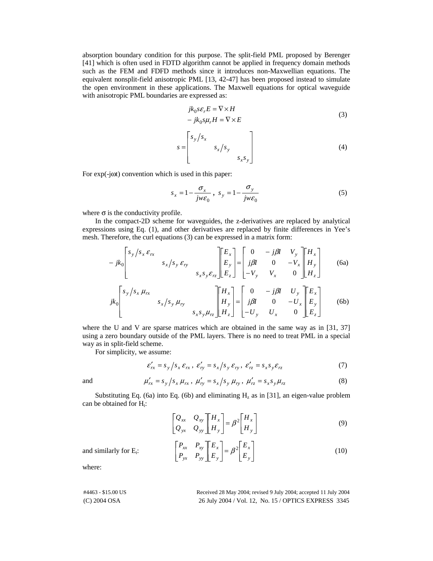absorption boundary condition for this purpose. The split-field PML proposed by Berenger [41] which is often used in FDTD algorithm cannot be applied in frequency domain methods such as the FEM and FDFD methods since it introduces non-Maxwellian equations. The equivalent nonsplit-field anisotropic PML [13, 42-47] has been proposed instead to simulate the open environment in these applications. The Maxwell equations for optical waveguide with anisotropic PML boundaries are expressed as:

$$
jk_0 s\varepsilon_r E = \nabla \times H
$$
  
-  $jk_0 s \mu_r H = \nabla \times E$  (3)

$$
s = \begin{bmatrix} s_y / s_x & & \\ & s_x / s_y & \\ & & & s_x s_y \end{bmatrix}
$$
 (4)

For exp(-jωt) convention which is used in this paper:

$$
s_x = 1 - \frac{\sigma_x}{j w \varepsilon_0}, \quad s_y = 1 - \frac{\sigma_y}{j w \varepsilon_0}
$$
 (5)

where  $\sigma$  is the conductivity profile.

In the compact-2D scheme for waveguides, the z-derivatives are replaced by analytical expressions using Eq. (1), and other derivatives are replaced by finite differences in Yee's mesh. Therefore, the curl equations (3) can be expressed in a matrix form:

$$
-jk_0 \begin{bmatrix} s_y / s_x \varepsilon_{rx} \\ s_x / s_y \varepsilon_{ry} \\ s_x s_y \varepsilon_{rz} \end{bmatrix} \begin{bmatrix} E_x \\ E_y \\ E_z \end{bmatrix} = \begin{bmatrix} 0 & -j\beta I & V_y \\ j\beta I & 0 & -V_x \\ -V_y & V_x & 0 \end{bmatrix} \begin{bmatrix} H_x \\ H_y \\ H_z \end{bmatrix}
$$
(6a)

$$
jk_0 \begin{bmatrix} s_y / s_x \mu_{rx} \\ s_x / s_y \mu_{ry} \\ s_x s_y \mu_{rz} \end{bmatrix} \begin{bmatrix} H_x \\ H_y \\ H_z \end{bmatrix} = \begin{bmatrix} 0 & -j\beta I & U_y \\ j\beta I & 0 & -U_x \\ -U_y & U_x & 0 \end{bmatrix} \begin{bmatrix} E_x \\ E_y \\ E_z \end{bmatrix}
$$
 (6b)

where the U and V are sparse matrices which are obtained in the same way as in [31, 37] using a zero boundary outside of the PML layers. There is no need to treat PML in a special way as in split-field scheme.

For simplicity, we assume:

$$
\varepsilon'_{rx} = s_y / s_x \varepsilon_{rx}, \varepsilon'_{ry} = s_x / s_y \varepsilon_{ry}, \varepsilon'_{rz} = s_x s_y \varepsilon_{rz}
$$
 (7)

and 
$$
\mu'_{rx} = s_y / s_x \mu_{rx}, \mu'_{ry} = s_x / s_y \mu_{ry}, \mu'_{rz} = s_x s_y \mu_{rz}
$$
 (8)

Substituting Eq. (6a) into Eq. (6b) and eliminating  $H_z$  as in [31], an eigen-value problem can be obtained for  $H_t$ :

$$
\begin{bmatrix} Q_{xx} & Q_{xy} \\ Q_{yx} & Q_{yy} \end{bmatrix} \begin{bmatrix} H_x \\ H_y \end{bmatrix} = \beta^2 \begin{bmatrix} H_x \\ H_y \end{bmatrix}
$$
 (9)

 $P_{xx}$   $P_{xy}$   $E_x$  =  $\beta^2$   $E_x$  =  $\beta^2$   $E_y$  (10)

-—<br>أ

*y x*

*E E*

and similarly for E<sub>t</sub>:  $\begin{bmatrix} -x & -xy \\ P_{yx} & P_{yy} \end{bmatrix} \begin{bmatrix} -x \\ E_y \end{bmatrix} = \beta^2 \begin{bmatrix} -x \\ E_y \end{bmatrix}$ 

where:

(C) 2004 OSA 26 July 2004 / Vol. 12, No. 15 / OPTICS EXPRESS 3345 #4463 - \$15.00 US Received 28 May 2004; revised 9 July 2004; accepted 11 July 2004

-Ē

*y x*

*E E*

-

 $\begin{bmatrix} x_1 & y_1 \\ P_{yx} & P_{yy} \end{bmatrix}$ 

 $yx$   $\boldsymbol{r}$  *yy*  $\frac{1}{xy}$ 

Ē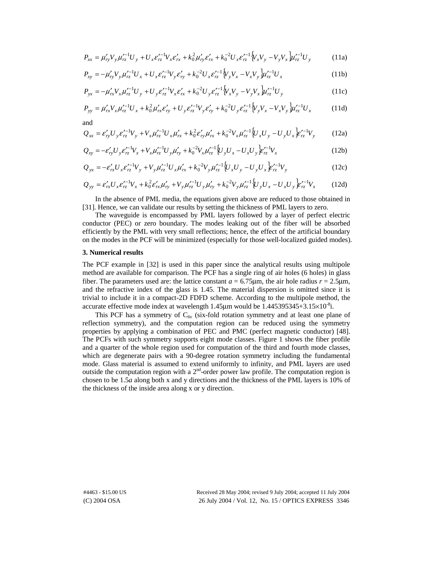$$
P_{xx} = \mu'_{yy} V_y \mu'^{-1}_{rz} U_y + U_x \varepsilon'^{-1}_{rz} V_x \varepsilon'_{rx} + k_0^2 \mu'_{ry} \varepsilon'_{rx} + k_0^{-2} U_x \varepsilon'^{-1}_{rz} \left\{ V_x V_y - V_y V_x \right\} \mu'^{-1}_{rz} U_y \tag{11a}
$$

$$
P_{xy} = -\mu'_{ry} V_y \mu'^{-1}_{rz} U_x + U_x \varepsilon'^{-1}_{rz} V_y \varepsilon'_{ry} + k_0^{-2} U_x \varepsilon'^{-1}_{rz} \left\{ V_y V_x - V_x V_y \right\} \mu'^{-1}_{rz} U_x \tag{11b}
$$

$$
P_{yx} = -\mu'_{rx} V_x \mu'^{-1}_{rz} U_y + U_y \varepsilon'^{-1}_{rz} V_x \varepsilon'_{rx} + k_0^{-2} U_y \varepsilon'^{-1}_{rz} \left\{ V_x V_y - V_y V_x \right\} \mu'^{-1}_{rz} U_y \tag{11c}
$$

$$
P_{yy} = \mu'_{rx} V_x \mu'^{-1}_{rz} U_x + k_0^2 \mu'_{rx} \varepsilon'_{ry} + U_y \varepsilon'^{-1}_{rz} V_y \varepsilon'_{ry} + k_0^{-2} U_y \varepsilon'^{-1}_{rz} \left\{ V_y V_x - V_x V_y \right\} \mu'^{-1}_{rz} U_x \tag{11d}
$$

$$
Q_{xx} = \varepsilon'_{ry} U_y \varepsilon'_{rz}^{-1} V_y + V_x \mu'_{rz}^{-1} U_x \mu'_{rx} + k_0^2 \varepsilon'_{ry} \mu'_{rx} + k_0^{-2} V_x \mu'_{rz}^{-1} \Big[ U_x U_y - U_y U_x \Big] \varepsilon'_{rz}^{-1} V_y \tag{12a}
$$

$$
Q_{xy} = -\varepsilon'_{ry} U_y \varepsilon'^{-1}_{rz} V_x + V_x \mu'^{-1}_{rz} U_y \mu'_{ry} + k_0^{-2} V_x \mu'^{-1}_{rz} \left\{ U_y U_x - U_x U_y \right\} \varepsilon'^{-1}_{rz} V_x \tag{12b}
$$

$$
Q_{yx} = -\varepsilon'_{rx} U_x \varepsilon'^{-1}_{rz} V_y + V_y \mu'^{-1}_{rz} U_x \mu'_{rx} + k_0^{-2} V_y \mu'^{-1}_{rz} \left\{ U_x U_y - U_y U_x \right\} \varepsilon'^{-1}_{rz} V_y \tag{12c}
$$

$$
Q_{yy} = \varepsilon'_{rx} U_x \varepsilon'_{rz}^{-1} V_x + k_0^2 \varepsilon'_{rx} \mu'_{ry} + V_y \mu'_{rz}^{-1} U_y \mu'_{ry} + k_0^{-2} V_y \mu'_{rz}^{-1} \left\{ U_y U_x - U_x U_y \right\} \varepsilon'_{rz}^{-1} V_x \tag{12d}
$$

In the absence of PML media, the equations given above are reduced to those obtained in [31]. Hence, we can validate our results by setting the thickness of PML layers to zero.

The waveguide is encompassed by PML layers followed by a layer of perfect electric conductor (PEC) or zero boundary. The modes leaking out of the fiber will be absorbed efficiently by the PML with very small reflections; hence, the effect of the artificial boundary on the modes in the PCF will be minimized (especially for those well-localized guided modes).

#### **3. Numerical results**

and

The PCF example in [32] is used in this paper since the analytical results using multipole method are available for comparison. The PCF has a single ring of air holes (6 holes) in glass fiber. The parameters used are: the lattice constant  $a = 6.75 \mu m$ , the air hole radius  $r = 2.5 \mu m$ , and the refractive index of the glass is 1.45. The material dispersion is omitted since it is trivial to include it in a compact-2D FDFD scheme. According to the multipole method, the accurate effective mode index at wavelength  $1.45\mu$ m would be  $1.445395345+3.15\times10^{-8}$ i.

This PCF has a symmetry of  $C_{6v}$  (six-fold rotation symmetry and at least one plane of reflection symmetry), and the computation region can be reduced using the symmetry properties by applying a combination of PEC and PMC (perfect magnetic conductor) [48]. The PCFs with such symmetry supports eight mode classes. Figure 1 shows the fiber profile and a quarter of the whole region used for computation of the third and fourth mode classes, which are degenerate pairs with a 90-degree rotation symmetry including the fundamental mode. Glass material is assumed to extend uniformly to infinity, and PML layers are used outside the computation region with a  $2<sup>nd</sup>$ -order power law profile. The computation region is chosen to be 1.5*a* along both x and y directions and the thickness of the PML layers is 10% of the thickness of the inside area along x or y direction.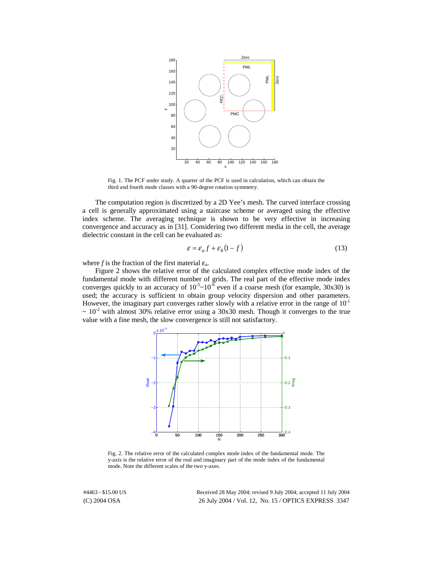

Fig. 1. The PCF under study. A quarter of the PCF is used in calculation, which can obtain the third and fourth mode classes with a 90-degree rotation symmetry.

The computation region is discretized by a 2D Yee's mesh. The curved interface crossing a cell is generally approximated using a staircase scheme or averaged using the effective index scheme. The averaging technique is shown to be very effective in increasing convergence and accuracy as in [31]. Considering two different media in the cell, the average dielectric constant in the cell can be evaluated as:

$$
\varepsilon = \varepsilon_a f + \varepsilon_b (1 - f) \tag{13}
$$

where *f* is the fraction of the first material  $\varepsilon_a$ .

Figure 2 shows the relative error of the calculated complex effective mode index of the fundamental mode with different number of grids. The real part of the effective mode index converges quickly to an accuracy of  $10^{-5}$ ~ $10^{-6}$  even if a coarse mesh (for example, 30x30) is used; the accuracy is sufficient to obtain group velocity dispersion and other parameters. However, the imaginary part converges rather slowly with a relative error in the range of  $10^{-1}$  $\sim 10^{-2}$  with almost 30% relative error using a 30x30 mesh. Though it converges to the true value with a fine mesh, the slow convergence is still not satisfactory.



Fig. 2. The relative error of the calculated complex mode index of the fundamental mode. The y-axis is the relative error of the real and imaginary part of the mode index of the fundamental mode. Note the different scales of the two y-axes.

(C) 2004 OSA 26 July 2004 / Vol. 12, No. 15 / OPTICS EXPRESS 3347 #4463 - \$15.00 US Received 28 May 2004; revised 9 July 2004; accepted 11 July 2004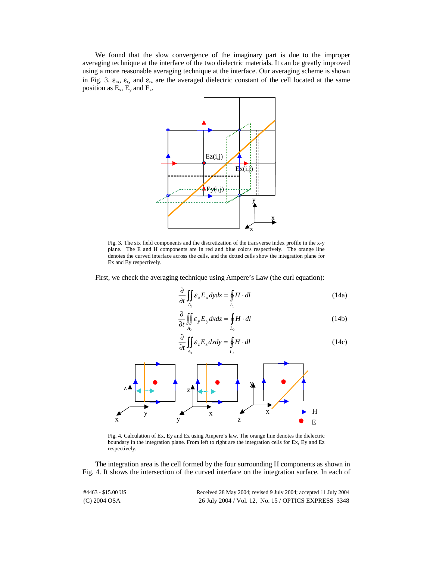We found that the slow convergence of the imaginary part is due to the improper averaging technique at the interface of the two dielectric materials. It can be greatly improved using a more reasonable averaging technique at the interface. Our averaging scheme is shown in Fig. 3.  $\varepsilon_{rx}$ ,  $\varepsilon_{ry}$  and  $\varepsilon_{rz}$  are the averaged dielectric constant of the cell located at the same position as  $E_x$ ,  $E_y$  and  $E_z$ .



Fig. 3. The six field components and the discretization of the transverse index profile in the x-y plane. The E and H components are in red and blue colors respectively. The orange line denotes the curved interface across the cells, and the dotted cells show the integration plane for Ex and Ey respectively.

First, we check the averaging technique using Ampere's Law (the curl equation):

$$
\frac{\partial}{\partial t} \iint_{A_1} \mathcal{E}_x E_x dy dz = \oint_{L_1} H \cdot dl \tag{14a}
$$

$$
\frac{\partial}{\partial t} \iint_{A_2} \mathcal{E}_y E_y dx dz = \oint_{L_2} H \cdot dl \tag{14b}
$$

$$
\frac{\partial}{\partial t} \iint_{A_3} \mathcal{E}_z E_z dx dy = \oint_{L_3} H \cdot dl \tag{14c}
$$



Fig. 4. Calculation of Ex, Ey and Ez using Ampere's law. The orange line denotes the dielectric boundary in the integration plane. From left to right are the integration cells for Ex, Ey and Ez respectively.

The integration area is the cell formed by the four surrounding H components as shown in Fig. 4. It shows the intersection of the curved interface on the integration surface. In each of

(C) 2004 OSA 26 July 2004 / Vol. 12, No. 15 / OPTICS EXPRESS 3348 #4463 - \$15.00 US Received 28 May 2004; revised 9 July 2004; accepted 11 July 2004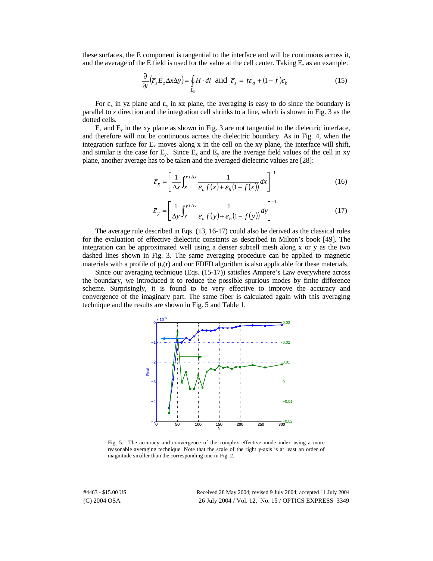these surfaces, the E component is tangential to the interface and will be continuous across it, and the average of the E field is used for the value at the cell center. Taking  $E_z$  as an example:

$$
\frac{\partial}{\partial t} \left( \overline{\varepsilon}_z \overline{E}_z \Delta x \Delta y \right) = \oint_{L_3} H \cdot dl \text{ and } \overline{\varepsilon}_z = f \varepsilon_a + (1 - f) \varepsilon_b \tag{15}
$$

For  $\varepsilon_x$  in yz plane and  $\varepsilon_y$  in xz plane, the averaging is easy to do since the boundary is parallel to z direction and the integration cell shrinks to a line, which is shown in Fig. 3 as the dotted cells.

 $E_x$  and  $E_y$  in the xy plane as shown in Fig. 3 are not tangential to the dielectric interface, and therefore will not be continuous across the dielectric boundary. As in Fig. 4, when the integration surface for  $E_x$  moves along x in the cell on the xy plane, the interface will shift, and similar is the case for  $E_y$ . Since  $E_x$  and  $E_y$  are the average field values of the cell in xy plane, another average has to be taken and the averaged dielectric values are [28]:

$$
\overline{\varepsilon}_x = \left[ \frac{1}{\Delta x} \int_x^{x + \Delta x} \frac{1}{\varepsilon_a f(x) + \varepsilon_b (1 - f(x))} dx \right]^{-1} \tag{16}
$$

$$
\overline{\mathcal{E}}_{y} = \left[\frac{1}{\Delta y} \int_{y}^{y + \Delta y} \frac{1}{\mathcal{E}_{a} f(y) + \mathcal{E}_{b} (1 - f(y))} dy\right]^{-1}
$$
(17)

The average rule described in Eqs. (13, 16-17) could also be derived as the classical rules for the evaluation of effective dielectric constants as described in Milton's book [49]. The integration can be approximated well using a denser subcell mesh along x or y as the two dashed lines shown in Fig. 3. The same averaging procedure can be applied to magnetic materials with a profile of  $\mu_r(r)$  and our FDFD algorithm is also applicable for these materials.

Since our averaging technique (Eqs. (15-17)) satisfies Ampere's Law everywhere across the boundary, we introduced it to reduce the possible spurious modes by finite difference scheme. Surprisingly, it is found to be very effective to improve the accuracy and convergence of the imaginary part. The same fiber is calculated again with this averaging technique and the results are shown in Fig. 5 and Table 1.



Fig. 5. The accuracy and convergence of the complex effective mode index using a more reasonable averaging technique. Note that the scale of the right y-axis is at least an order of magnitude smaller than the corresponding one in Fig. 2.

(C) 2004 OSA 26 July 2004 / Vol. 12, No. 15 / OPTICS EXPRESS 3349 #4463 - \$15.00 US Received 28 May 2004; revised 9 July 2004; accepted 11 July 2004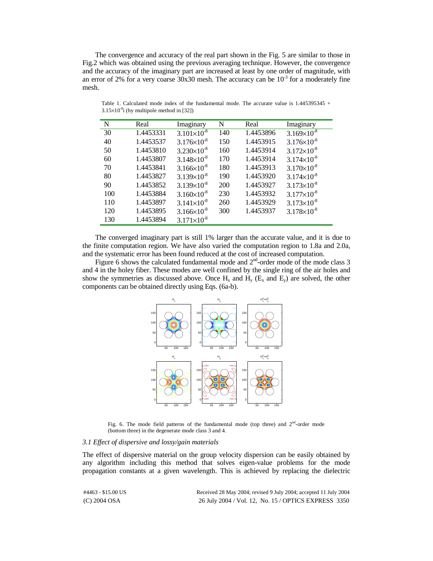The convergence and accuracy of the real part shown in the Fig. 5 are similar to those in Fig.2 which was obtained using the previous averaging technique. However, the convergence and the accuracy of the imaginary part are increased at least by one order of magnitude, with an error of 2% for a very coarse  $30x30$  mesh. The accuracy can be  $10^{-3}$  for a moderately fine mesh.

| N   | Real      | Imaginary              | N   | Real      | Imaginary              |
|-----|-----------|------------------------|-----|-----------|------------------------|
| 30  | 1.4453331 | $3.101\times10^{-8}$   | 140 | 1.4453896 | $3.169\times10^{-8}$   |
| 40  | 1.4453537 | $3.176 \times 10^{-8}$ | 150 | 1.4453915 | $3.176 \times 10^{-8}$ |
| 50  | 1.4453810 | $3.230 \times 10^{-8}$ | 160 | 1.4453914 | $3.172\times10^{-8}$   |
| 60  | 1.4453807 | $3.148 \times 10^{-8}$ | 170 | 1.4453914 | $3.174 \times 10^{-8}$ |
| 70  | 1.4453841 | $3.166 \times 10^{-8}$ | 180 | 1.4453913 | $3.170 \times 10^{-8}$ |
| 80  | 1.4453827 | $3.139\times10^{-8}$   | 190 | 1.4453920 | $3.174 \times 10^{-8}$ |
| 90  | 1.4453852 | $3.139\times10^{-8}$   | 200 | 1.4453927 | $3.173 \times 10^{-8}$ |
| 100 | 1.4453884 | $3.160 \times 10^{-8}$ | 230 | 1.4453932 | $3.177 \times 10^{-8}$ |
| 110 | 1.4453897 | $3.141\times10^{-8}$   | 260 | 1.4453929 | $3.173 \times 10^{-8}$ |
| 120 | 1.4453895 | $3.166 \times 10^{-8}$ | 300 | 1.4453937 | $3.178 \times 10^{-8}$ |
| 130 | 1.4453894 | $3.171\times10^{-8}$   |     |           |                        |
|     |           |                        |     |           |                        |

Table 1. Calculated mode index of the fundamental mode. The accurate value is 1.445395345 +  $3.15\times10^{-8}$ i (by multipole method in [32])

The converged imaginary part is still 1% larger than the accurate value, and it is due to the finite computation region. We have also varied the computation region to 1.8a and 2.0a, and the systematic error has been found reduced at the cost of increased computation.

Figure 6 shows the calculated fundamental mode and  $2<sup>nd</sup>$ -order mode of the mode class 3 and 4 in the holey fiber. These modes are well confined by the single ring of the air holes and show the symmetries as discussed above. Once  $H_x$  and  $H_y$  ( $E_x$  and  $E_y$ ) are solved, the other components can be obtained directly using Eqs. (6a-b).



Fig. 6. The mode field patterns of the fundamental mode (top three) and  $2<sup>nd</sup>$ -order mode (bottom three) in the degenerate mode class 3 and 4.

#### *3.1 Effect of dispersive and lossy/gain materials*

The effect of dispersive material on the group velocity dispersion can be easily obtained by any algorithm including this method that solves eigen-value problems for the mode propagation constants at a given wavelength. This is achieved by replacing the dielectric

| #4463 - \$15.00 US | Received 28 May 2004; revised 9 July 2004; accepted 11 July 2004 |
|--------------------|------------------------------------------------------------------|
| $(C)$ 2004 OSA     | 26 July 2004 / Vol. 12, No. 15 / OPTICS EXPRESS 3350             |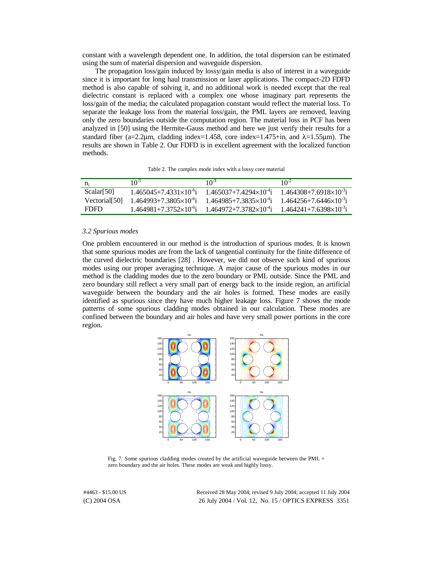constant with a wavelength dependent one. In addition, the total dispersion can be estimated using the sum of material dispersion and waveguide dispersion.

The propagation loss/gain induced by lossy/gain media is also of interest in a waveguide since it is important for long haul transmission or laser applications. The compact-2D FDFD method is also capable of solving it, and no additional work is needed except that the real dielectric constant is replaced with a complex one whose imaginary part represents the loss/gain of the media; the calculated propagation constant would reflect the material loss. To separate the leakage loss from the material loss/gain, the PML layers are removed, leaving only the zero boundaries outside the computation region. The material loss in PCF has been analyzed in [50] using the Hermite-Gauss method and here we just verify their results for a standard fiber (a=2.2µm, cladding index=1.458, core index=1.475+in<sub>i</sub> and  $\lambda$ =1.55µm). The results are shown in Table 2. Our FDFD is in excellent agreement with the localized function methods.

Table 2. The complex mode index with a lossy core material

| n:                        | $10^{-5}$                            | 10 <sup>-3</sup>                     | $10^{-2}$                            |
|---------------------------|--------------------------------------|--------------------------------------|--------------------------------------|
| Scalar[50]                | $1.465045 + 7.4331 \times 10^{-6}$ i | $1.465037 + 7.4294 \times 10^{-4}$ i | $1.464308 + 7.6918 \times 10^{-3}$ i |
| Vectorial <sup>[50]</sup> | $1.464993+7.3805\times10^{-6}$ i     | $1.464985 + 7.3835 \times 10^{-4}$ i | $1.464256 + 7.6446 \times 10^{-3}$ i |
| FDFD.                     | $1.464981+7.3752\times10^{-6}$ i     | $1.464972 + 7.3782 \times 10^{-4}$ i | $1.464241 + 7.6398 \times 10^{-3}$ i |

#### *3.2 Spurious modes*

One problem encountered in our method is the introduction of spurious modes. It is known that some spurious modes are from the lack of tangential continuity for the finite difference of the curved dielectric boundaries [28] . However, we did not observe such kind of spurious modes using our proper averaging technique. A major cause of the spurious modes in our method is the cladding modes due to the zero boundary or PML outside. Since the PML and zero boundary still reflect a very small part of energy back to the inside region, an artificial waveguide between the boundary and the air holes is formed. These modes are easily identified as spurious since they have much higher leakage loss. Figure 7 shows the mode patterns of some spurious cladding modes obtained in our calculation. These modes are confined between the boundary and air holes and have very small power portions in the core region.



Fig. 7. Some spurious cladding modes created by the artificial waveguide between the PML + zero boundary and the air holes. These modes are weak and highly lossy.

(C) 2004 OSA 26 July 2004 / Vol. 12, No. 15 / OPTICS EXPRESS 3351 #4463 - \$15.00 US Received 28 May 2004; revised 9 July 2004; accepted 11 July 2004